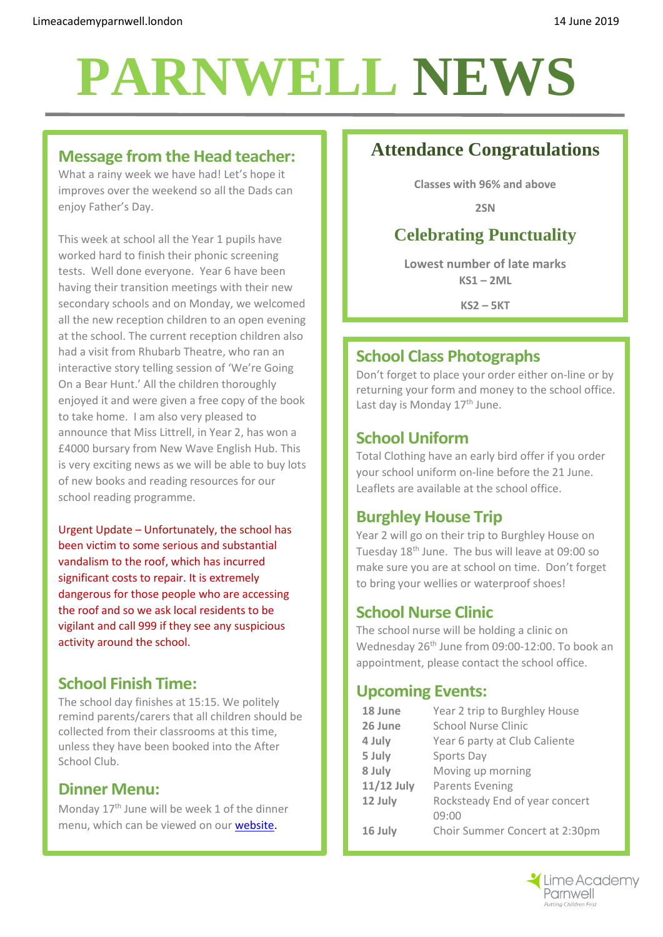## **PARNWELL NEWS**

#### **Message from the Head teacher:**

What a rainy week we have had! Let's hope it improves over the weekend so all the Dads can enjoy Father's Day.

This week at school all the Year 1 pupils have worked hard to finish their phonic screening tests. Well done everyone. Year 6 have been having their transition meetings with their new secondary schools and on Monday, we welcomed all the new reception children to an open evening at the school. The current reception children also had a visit from Rhubarb Theatre, who ran an interactive story telling session of 'We're Going On a Bear Hunt.' All the children thoroughly enjoyed it and were given a free copy of the book to take home. I am also very pleased to announce that Miss Littrell, in Year 2, has won a £4000 bursary from New Wave English Hub. This is very exciting news as we will be able to buy lots of new books and reading resources for our school reading programme.

Urgent Update – Unfortunately, the school has been victim to some serious and substantial vandalism to the roof, which has incurred significant costs to repair. It is extremely dangerous for those people who are accessing the roof and so we ask local residents to be vigilant and call 999 if they see any suspicious activity around the school.

#### **School Finish Time:**

The school day finishes at 15:15. We politely remind parents/carers that all children should be collected from their classrooms at this time, unless they have been booked into the After School Club.

#### **Dinner Menu:**

Monday 17<sup>th</sup> June will be week 1 of the dinner menu, which can be viewed on our [website.](http://limeacademyparnwell.london/media/1997/dinner-menu-2.pdf)

## **Attendance Congratulations**

**Classes with 96% and above**

**2SN**

## **Celebrating Punctuality**

**Lowest number of late marks KS1 – 2ML**

**KS2 – 5KT**

#### **School Class Photographs**

Don't forget to place your order either on-line or by returning your form and money to the school office. Last day is Monday 17<sup>th</sup> June.

#### **School Uniform**

Total Clothing have an early bird offer if you order your school uniform on-line before the 21 June. Leaflets are available at the school office.

#### **Burghley House Trip**

Year 2 will go on their trip to Burghley House on Tuesday 18th June. The bus will leave at 09:00 so make sure you are at school on time. Don't forget to bring your wellies or waterproof shoes!

#### **School Nurse Clinic**

The school nurse will be holding a clinic on Wednesday 26<sup>th</sup> June from 09:00-12:00. To book an appointment, please contact the school office.

#### **Upcoming Events:**

| 18 June    | Year 2 trip to Burghley House  |
|------------|--------------------------------|
| 26 June    | <b>School Nurse Clinic</b>     |
| 4 July     | Year 6 party at Club Caliente  |
| 5 July     | Sports Day                     |
| 8 July     | Moving up morning              |
| 11/12 July | Parents Evening                |
| 12 July    | Rocksteady End of year concert |
|            | 09:00                          |
| 16 July    | Choir Summer Concert at 2:30pm |
|            |                                |